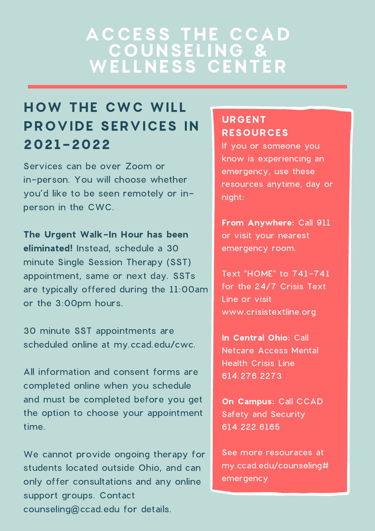# ACCESS THE CCAD COUNSELING & WELLNESS CENTER

## HOW THE CWC WILL PROVIDE SERVICES IN 2021-2022

Services can be over Zoom or in-person. You will choose whether you'd like to be seen remotely or inperson in the CWC.

The Urgent Walk-In Hour has been eliminated! Instead, schedule a 30 minute Single Session Therapy (SST) appointment, same or next day. SSTs are typically offered during the 11:00am or the 3:00pm hours.

30 minute SST appointments are scheduled online at my.ccad.edu/cwc.

All information and consent forms are completed online when you schedule and must be completed before you get the option to choose your appointment time.

We cannot provide ongoing therapy for students located outside Ohio, and can only offer consultations and any online support groups. Contact [counseling@ccad.edu](mailto:counseling@ccad.edu) for details.

### URGENT RESOURCES

If you or someone you know is experiencing an emergency, use these resources anytime, day or night:

From Anywhere: Call 911 or visit your nearest emergency room.

Text "HOME" to 741-741 for the 24/7 Crisis Text Line or visit www.crisistextline.org

In Central Ohio: Call Netcare Access Mental Health Crisis Line 614.276.2273

On Campus: Call CCAD Safety and Security 614.222.6165

See more resouraces at my.ccad.edu/counseling# emergency